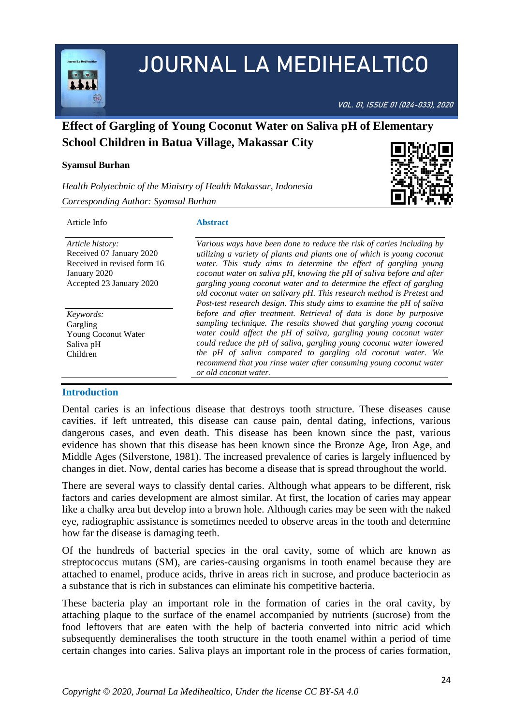

# JOURNAL LA MEDIHEALTICO

VOL. 01, ISSUE 01 (024-033), 2020

# **Effect of Gargling of Young Coconut Water on Saliva pH of Elementary School Children in Batua Village, Makassar City**

#### **Syamsul Burhan**

*Health Polytechnic of the Ministry of Health Makassar, Indonesia*



*Corresponding Author: Syamsul Burhan*

#### Article Info

**Abstract**

*Article history:*  Received 07 January 2020 Received in revised form 16 January 2020 Accepted 23 January 2020

*Keywords:* **Gargling** Young Coconut Water Saliva pH Children

## **Introduction**

*utilizing a variety of plants and plants one of which is young coconut water. This study aims to determine the effect of gargling young coconut water on saliva pH, knowing the pH of saliva before and after gargling young coconut water and to determine the effect of gargling old coconut water on salivary pH. This research method is Pretest and Post-test research design. This study aims to examine the pH of saliva before and after treatment. Retrieval of data is done by purposive sampling technique. The results showed that gargling young coconut water could affect the pH of saliva, gargling young coconut water could reduce the pH of saliva, gargling young coconut water lowered the pH of saliva compared to gargling old coconut water. We recommend that you rinse water after consuming young coconut water or old coconut water.*

*Various ways have been done to reduce the risk of caries including by* 

Dental caries is an infectious disease that destroys tooth structure. These diseases cause cavities. if left untreated, this disease can cause pain, dental dating, infections, various dangerous cases, and even death. This disease has been known since the past, various evidence has shown that this disease has been known since the Bronze Age, Iron Age, and Middle Ages (Silverstone, 1981). The increased prevalence of caries is largely influenced by changes in diet. Now, dental caries has become a disease that is spread throughout the world.

There are several ways to classify dental caries. Although what appears to be different, risk factors and caries development are almost similar. At first, the location of caries may appear like a chalky area but develop into a brown hole. Although caries may be seen with the naked eye, radiographic assistance is sometimes needed to observe areas in the tooth and determine how far the disease is damaging teeth.

Of the hundreds of bacterial species in the oral cavity, some of which are known as streptococcus mutans (SM), are caries-causing organisms in tooth enamel because they are attached to enamel, produce acids, thrive in areas rich in sucrose, and produce bacteriocin as a substance that is rich in substances can eliminate his competitive bacteria.

These bacteria play an important role in the formation of caries in the oral cavity, by attaching plaque to the surface of the enamel accompanied by nutrients (sucrose) from the food leftovers that are eaten with the help of bacteria converted into nitric acid which subsequently demineralises the tooth structure in the tooth enamel within a period of time certain changes into caries. Saliva plays an important role in the process of caries formation,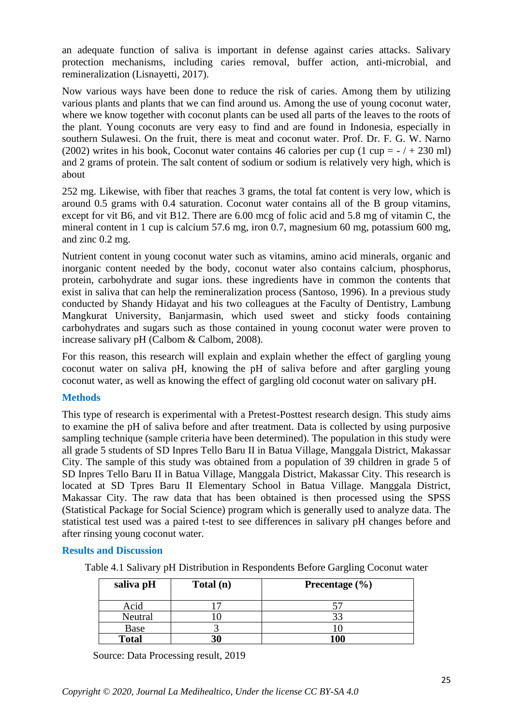an adequate function of saliva is important in defense against caries attacks. Salivary protection mechanisms, including caries removal, buffer action, anti-microbial, and remineralization (Lisnayetti, 2017).

Now various ways have been done to reduce the risk of caries. Among them by utilizing various plants and plants that we can find around us. Among the use of young coconut water, where we know together with coconut plants can be used all parts of the leaves to the roots of the plant. Young coconuts are very easy to find and are found in Indonesia, especially in southern Sulawesi. On the fruit, there is meat and coconut water. Prof. Dr. F. G. W. Narno (2002) writes in his book, Coconut water contains 46 calories per cup  $(1 \text{ cup} = -7 + 230 \text{ ml})$ and 2 grams of protein. The salt content of sodium or sodium is relatively very high, which is about

252 mg. Likewise, with fiber that reaches 3 grams, the total fat content is very low, which is around 0.5 grams with 0.4 saturation. Coconut water contains all of the B group vitamins, except for vit B6, and vit B12. There are 6.00 mcg of folic acid and 5.8 mg of vitamin C, the mineral content in 1 cup is calcium 57.6 mg, iron 0.7, magnesium 60 mg, potassium 600 mg, and zinc 0.2 mg.

Nutrient content in young coconut water such as vitamins, amino acid minerals, organic and inorganic content needed by the body, coconut water also contains calcium, phosphorus, protein, carbohydrate and sugar ions. these ingredients have in common the contents that exist in saliva that can help the remineralization process (Santoso, 1996). In a previous study conducted by Shandy Hidayat and his two colleagues at the Faculty of Dentistry, Lambung Mangkurat University, Banjarmasin, which used sweet and sticky foods containing carbohydrates and sugars such as those contained in young coconut water were proven to increase salivary pH (Calbom & Calbom, 2008).

For this reason, this research will explain and explain whether the effect of gargling young coconut water on saliva pH, knowing the pH of saliva before and after gargling young coconut water, as well as knowing the effect of gargling old coconut water on salivary pH.

#### **Methods**

This type of research is experimental with a Pretest-Posttest research design. This study aims to examine the pH of saliva before and after treatment. Data is collected by using purposive sampling technique (sample criteria have been determined). The population in this study were all grade 5 students of SD Inpres Tello Baru II in Batua Village, Manggala District, Makassar City. The sample of this study was obtained from a population of 39 children in grade 5 of SD Inpres Tello Baru II in Batua Village, Manggala District, Makassar City. This research is located at SD Tpres Baru II Elementary School in Batua Village. Manggala District, Makassar City. The raw data that has been obtained is then processed using the SPSS (Statistical Package for Social Science) program which is generally used to analyze data. The statistical test used was a paired t-test to see differences in salivary pH changes before and after rinsing young coconut water.

#### **Results and Discussion**

Table 4.1 Salivary pH Distribution in Respondents Before Gargling Coconut water

| saliva pH    | Total (n) | Precentage $(\% )$ |
|--------------|-----------|--------------------|
| Acid         |           |                    |
| Neutral      |           |                    |
| Base         |           |                    |
| <b>Total</b> | 30        | 1 A C              |

Source: Data Processing result, 2019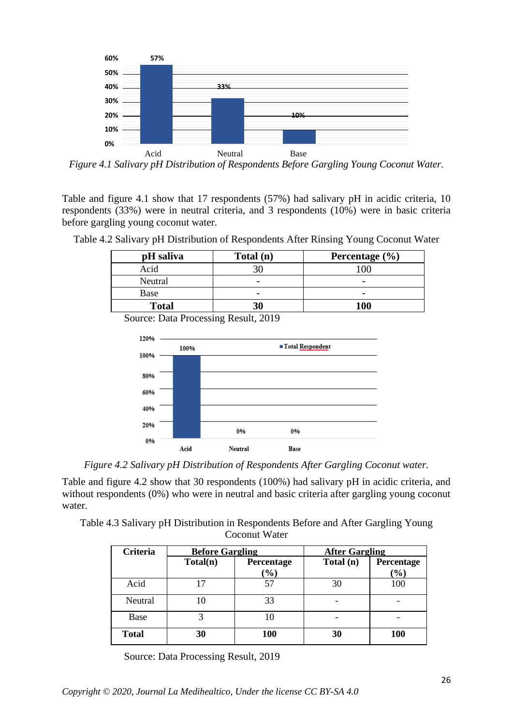

*Figure 4.1 Salivary pH Distribution of Respondents Before Gargling Young Coconut Water.*

Table and figure 4.1 show that 17 respondents (57%) had salivary pH in acidic criteria, 10 respondents (33%) were in neutral criteria, and 3 respondents (10%) were in basic criteria before gargling young coconut water.

| pH saliva    | Total (n) | Percentage $(\% )$ |
|--------------|-----------|--------------------|
| Acid         |           | '00                |
| Neutral      |           |                    |
| Base         |           |                    |
| <b>Total</b> | 30        | 100                |

Table 4.2 Salivary pH Distribution of Respondents After Rinsing Young Coconut Water

Source: Data Processing Result, 2019



*Figure 4.2 Salivary pH Distribution of Respondents After Gargling Coconut water.*

Table and figure 4.2 show that 30 respondents (100%) had salivary pH in acidic criteria, and without respondents (0%) who were in neutral and basic criteria after gargling young coconut water.

Table 4.3 Salivary pH Distribution in Respondents Before and After Gargling Young Coconut Water

| <b>Criteria</b> | <b>Before Gargling</b> |                             | <b>After Gargling</b> |                                            |
|-----------------|------------------------|-----------------------------|-----------------------|--------------------------------------------|
|                 | Total(n)               | Percentage<br>$\frac{1}{2}$ | Total (n)             | Percentage<br>$\left( \frac{1}{2} \right)$ |
| Acid            |                        |                             | 30                    | 100                                        |
| Neutral         |                        | 33                          |                       |                                            |
| Base            |                        | 10                          |                       |                                            |
| <b>Total</b>    | 30                     | 100                         | 30                    | 100                                        |

Source: Data Processing Result, 2019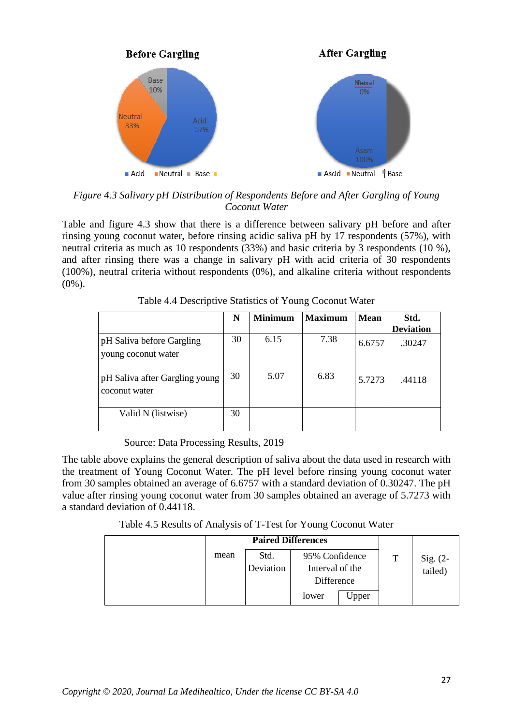

*Figure 4.3 Salivary pH Distribution of Respondents Before and After Gargling of Young Coconut Water*

Table and figure 4.3 show that there is a difference between salivary pH before and after rinsing young coconut water, before rinsing acidic saliva pH by 17 respondents (57%), with neutral criteria as much as 10 respondents (33%) and basic criteria by 3 respondents (10 %), and after rinsing there was a change in salivary pH with acid criteria of 30 respondents (100%), neutral criteria without respondents (0%), and alkaline criteria without respondents (0%).

|                                                  | N  | <b>Minimum</b> | <b>Maximum</b> | <b>Mean</b> | Std.<br><b>Deviation</b> |
|--------------------------------------------------|----|----------------|----------------|-------------|--------------------------|
| pH Saliva before Gargling<br>young coconut water | 30 | 6.15           | 7.38           | 6.6757      | .30247                   |
| pH Saliva after Gargling young<br>coconut water  | 30 | 5.07           | 6.83           | 5.7273      | .44118                   |
| Valid N (listwise)                               | 30 |                |                |             |                          |

Table 4.4 Descriptive Statistics of Young Coconut Water

Source: Data Processing Results, 2019

The table above explains the general description of saliva about the data used in research with the treatment of Young Coconut Water. The pH level before rinsing young coconut water from 30 samples obtained an average of 6.6757 with a standard deviation of 0.30247. The pH value after rinsing young coconut water from 30 samples obtained an average of 5.7273 with a standard deviation of 0.44118.

Table 4.5 Results of Analysis of T-Test for Young Coconut Water

|                                | <b>Paired Differences</b> |                 |       |   |                     |
|--------------------------------|---------------------------|-----------------|-------|---|---------------------|
| Std.<br>95% Confidence<br>mean |                           |                 |       | T |                     |
|                                | Deviation                 | Interval of the |       |   | Sig. (2-<br>tailed) |
|                                |                           | Difference      |       |   |                     |
|                                |                           | lower           | Jpper |   |                     |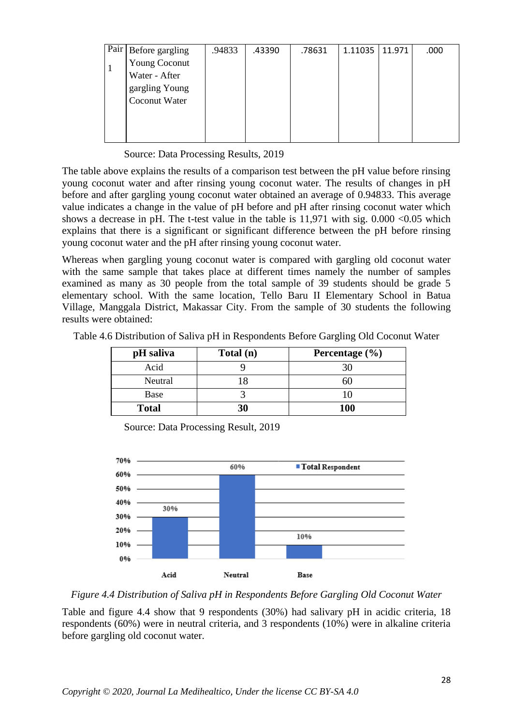| Pair   Before gargling | .94833 | .43390 | .78631 | 1.11035   11.971 | .000 |
|------------------------|--------|--------|--------|------------------|------|
| <b>Young Coconut</b>   |        |        |        |                  |      |
| Water - After          |        |        |        |                  |      |
| gargling Young         |        |        |        |                  |      |
| <b>Coconut Water</b>   |        |        |        |                  |      |
|                        |        |        |        |                  |      |
|                        |        |        |        |                  |      |
|                        |        |        |        |                  |      |

Source: Data Processing Results, 2019

The table above explains the results of a comparison test between the pH value before rinsing young coconut water and after rinsing young coconut water. The results of changes in pH before and after gargling young coconut water obtained an average of 0.94833. This average value indicates a change in the value of pH before and pH after rinsing coconut water which shows a decrease in pH. The t-test value in the table is  $11,971$  with sig.  $0.000 < 0.05$  which explains that there is a significant or significant difference between the pH before rinsing young coconut water and the pH after rinsing young coconut water.

Whereas when gargling young coconut water is compared with gargling old coconut water with the same sample that takes place at different times namely the number of samples examined as many as 30 people from the total sample of 39 students should be grade 5 elementary school. With the same location, Tello Baru II Elementary School in Batua Village, Manggala District, Makassar City. From the sample of 30 students the following results were obtained:

| Table 4.6 Distribution of Saliva pH in Respondents Before Gargling Old Coconut Water |  |  |  |
|--------------------------------------------------------------------------------------|--|--|--|
|                                                                                      |  |  |  |

| pH saliva    | Total (n) | Percentage $(\% )$ |
|--------------|-----------|--------------------|
| Acid         |           |                    |
| Neutral      |           |                    |
| Base         |           |                    |
| <b>Total</b> | 30        | <b>100</b>         |

Source: Data Processing Result, 2019



*Figure 4.4 Distribution of Saliva pH in Respondents Before Gargling Old Coconut Water*

Table and figure 4.4 show that 9 respondents (30%) had salivary pH in acidic criteria, 18 respondents (60%) were in neutral criteria, and 3 respondents (10%) were in alkaline criteria before gargling old coconut water.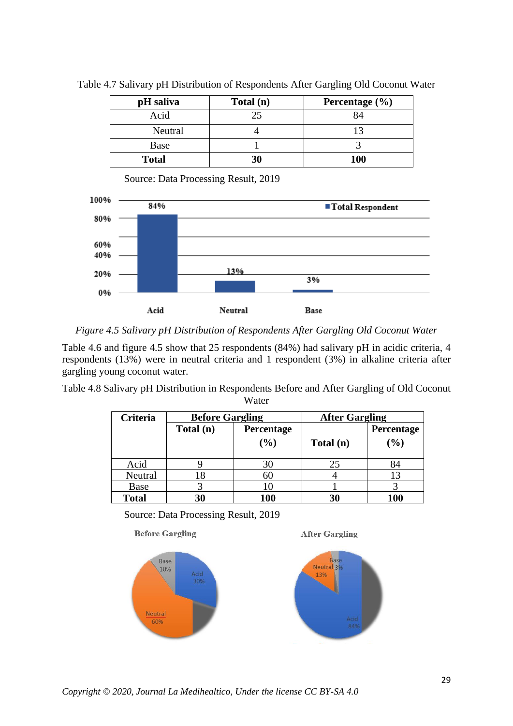| pH saliva    | Total (n) | Percentage $(\% )$ |
|--------------|-----------|--------------------|
| Acid         | 25        |                    |
| Neutral      |           |                    |
| Base         |           |                    |
| <b>Total</b> | 30        | <b>100</b>         |

Table 4.7 Salivary pH Distribution of Respondents After Gargling Old Coconut Water

Source: Data Processing Result, 2019



*Figure 4.5 Salivary pH Distribution of Respondents After Gargling Old Coconut Water*

Table 4.6 and figure 4.5 show that 25 respondents (84%) had salivary pH in acidic criteria, 4 respondents (13%) were in neutral criteria and 1 respondent (3%) in alkaline criteria after gargling young coconut water.

Table 4.8 Salivary pH Distribution in Respondents Before and After Gargling of Old Coconut Water

| <b>Criteria</b> | <b>Before Gargling</b> |            | <b>After Gargling</b> |              |  |
|-----------------|------------------------|------------|-----------------------|--------------|--|
|                 | Total (n)              | Percentage |                       | Percentage   |  |
|                 |                        | (%)        | Total (n)             | (%)          |  |
| Acid            |                        | 30         | 25                    | 84           |  |
| Neutral         | X                      | 60         |                       | 13           |  |
| Base            |                        |            |                       |              |  |
| <b>Total</b>    | 30                     | 100        | 30                    | $\mathbf{0}$ |  |

Source: Data Processing Result, 2019



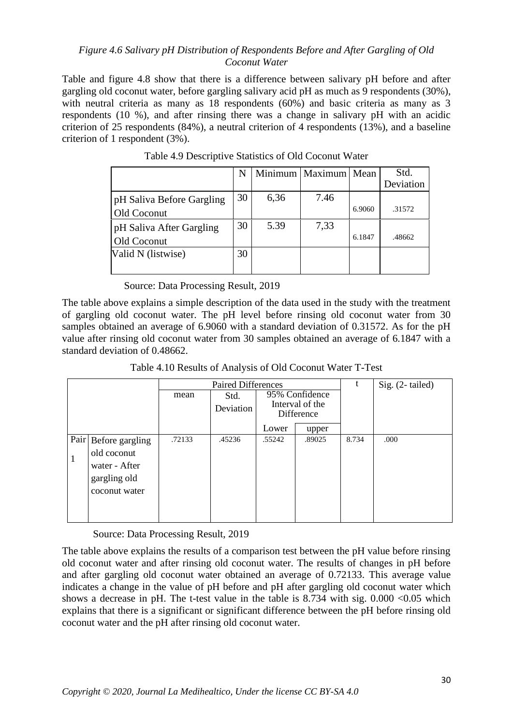### *Figure 4.6 Salivary pH Distribution of Respondents Before and After Gargling of Old Coconut Water*

Table and figure 4.8 show that there is a difference between salivary pH before and after gargling old coconut water, before gargling salivary acid pH as much as 9 respondents (30%), with neutral criteria as many as 18 respondents (60%) and basic criteria as many as 3 respondents (10 %), and after rinsing there was a change in salivary pH with an acidic criterion of 25 respondents (84%), a neutral criterion of 4 respondents (13%), and a baseline criterion of 1 respondent (3%).

|                           | N  |      | Minimum   Maximum   Mean |        | Std.      |
|---------------------------|----|------|--------------------------|--------|-----------|
|                           |    |      |                          |        | Deviation |
| pH Saliva Before Gargling | 30 | 6,36 | 7.46                     |        |           |
| Old Coconut               |    |      |                          | 6.9060 | .31572    |
| pH Saliva After Gargling  | 30 | 5.39 | 7,33                     |        |           |
| Old Coconut               |    |      |                          | 6.1847 | .48662    |
| Valid N (listwise)        | 30 |      |                          |        |           |
|                           |    |      |                          |        |           |

Table 4.9 Descriptive Statistics of Old Coconut Water

Source: Data Processing Result, 2019

The table above explains a simple description of the data used in the study with the treatment of gargling old coconut water. The pH level before rinsing old coconut water from 30 samples obtained an average of 6.9060 with a standard deviation of 0.31572. As for the pH value after rinsing old coconut water from 30 samples obtained an average of 6.1847 with a standard deviation of 0.48662.

Table 4.10 Results of Analysis of Old Coconut Water T-Test

|                                                                                               |        | <b>Paired Differences</b> | t                                               | Sig. (2-tailed) |       |      |
|-----------------------------------------------------------------------------------------------|--------|---------------------------|-------------------------------------------------|-----------------|-------|------|
|                                                                                               | mean   | Std.<br>Deviation         | 95% Confidence<br>Interval of the<br>Difference |                 |       |      |
|                                                                                               |        |                           | Lower                                           | upper           |       |      |
| Pair<br>Before gargling<br>old coconut<br>1<br>water - After<br>gargling old<br>coconut water | .72133 | .45236                    | .55242                                          | .89025          | 8.734 | .000 |

Source: Data Processing Result, 2019

The table above explains the results of a comparison test between the pH value before rinsing old coconut water and after rinsing old coconut water. The results of changes in pH before and after gargling old coconut water obtained an average of 0.72133. This average value indicates a change in the value of pH before and pH after gargling old coconut water which shows a decrease in pH. The t-test value in the table is  $8.734$  with sig.  $0.000 \le 0.05$  which explains that there is a significant or significant difference between the pH before rinsing old coconut water and the pH after rinsing old coconut water.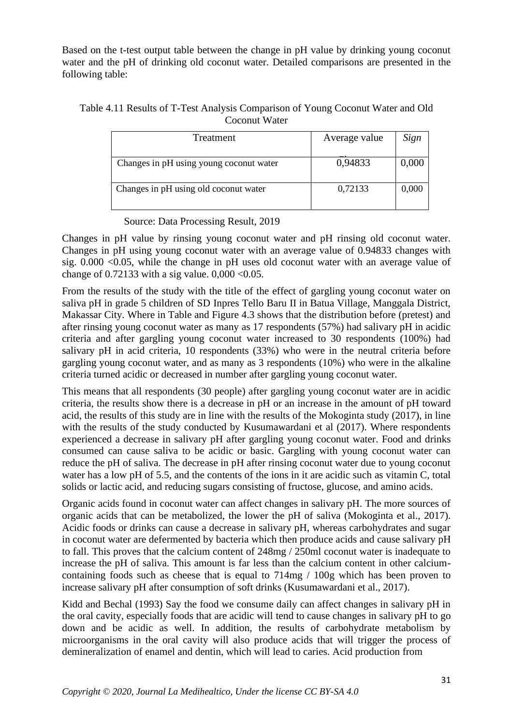Based on the t-test output table between the change in pH value by drinking young coconut water and the pH of drinking old coconut water. Detailed comparisons are presented in the following table:

#### Table 4.11 Results of T-Test Analysis Comparison of Young Coconut Water and Old Coconut Water

| Treatment                               | Average value | Sign  |
|-----------------------------------------|---------------|-------|
| Changes in pH using young coconut water | 0,94833       | 0,000 |
| Changes in pH using old coconut water   | 0,72133       | 0,000 |

Source: Data Processing Result, 2019

Changes in pH value by rinsing young coconut water and pH rinsing old coconut water. Changes in pH using young coconut water with an average value of 0.94833 changes with sig. 0.000 <0.05, while the change in pH uses old coconut water with an average value of change of 0.72133 with a sig value.  $0.000 < 0.05$ .

From the results of the study with the title of the effect of gargling young coconut water on saliva pH in grade 5 children of SD Inpres Tello Baru II in Batua Village, Manggala District, Makassar City. Where in Table and Figure 4.3 shows that the distribution before (pretest) and after rinsing young coconut water as many as 17 respondents (57%) had salivary pH in acidic criteria and after gargling young coconut water increased to 30 respondents (100%) had salivary pH in acid criteria, 10 respondents (33%) who were in the neutral criteria before gargling young coconut water, and as many as 3 respondents (10%) who were in the alkaline criteria turned acidic or decreased in number after gargling young coconut water.

This means that all respondents (30 people) after gargling young coconut water are in acidic criteria, the results show there is a decrease in pH or an increase in the amount of pH toward acid, the results of this study are in line with the results of the Mokoginta study (2017), in line with the results of the study conducted by Kusumawardani et al (2017). Where respondents experienced a decrease in salivary pH after gargling young coconut water. Food and drinks consumed can cause saliva to be acidic or basic. Gargling with young coconut water can reduce the pH of saliva. The decrease in pH after rinsing coconut water due to young coconut water has a low pH of 5.5, and the contents of the ions in it are acidic such as vitamin C, total solids or lactic acid, and reducing sugars consisting of fructose, glucose, and amino acids.

Organic acids found in coconut water can affect changes in salivary pH. The more sources of organic acids that can be metabolized, the lower the pH of saliva (Mokoginta et al., 2017). Acidic foods or drinks can cause a decrease in salivary pH, whereas carbohydrates and sugar in coconut water are defermented by bacteria which then produce acids and cause salivary pH to fall. This proves that the calcium content of 248mg / 250ml coconut water is inadequate to increase the pH of saliva. This amount is far less than the calcium content in other calciumcontaining foods such as cheese that is equal to 714mg / 100g which has been proven to increase salivary pH after consumption of soft drinks (Kusumawardani et al., 2017).

Kidd and Bechal (1993) Say the food we consume daily can affect changes in salivary pH in the oral cavity, especially foods that are acidic will tend to cause changes in salivary pH to go down and be acidic as well. In addition, the results of carbohydrate metabolism by microorganisms in the oral cavity will also produce acids that will trigger the process of demineralization of enamel and dentin, which will lead to caries. Acid production from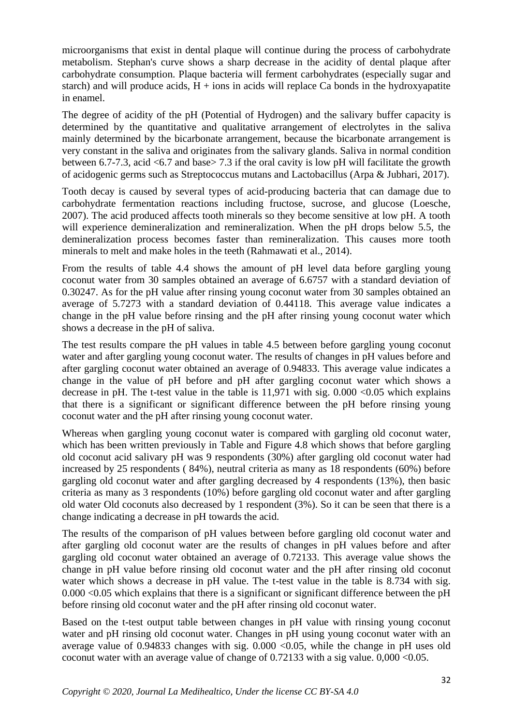microorganisms that exist in dental plaque will continue during the process of carbohydrate metabolism. Stephan's curve shows a sharp decrease in the acidity of dental plaque after carbohydrate consumption. Plaque bacteria will ferment carbohydrates (especially sugar and starch) and will produce acids,  $H + \text{ions}$  in acids will replace Ca bonds in the hydroxyapatite in enamel.

The degree of acidity of the pH (Potential of Hydrogen) and the salivary buffer capacity is determined by the quantitative and qualitative arrangement of electrolytes in the saliva mainly determined by the bicarbonate arrangement, because the bicarbonate arrangement is very constant in the saliva and originates from the salivary glands. Saliva in normal condition between 6.7-7.3, acid <6.7 and base> 7.3 if the oral cavity is low pH will facilitate the growth of acidogenic germs such as Streptococcus mutans and Lactobacillus (Arpa & Jubhari, 2017).

Tooth decay is caused by several types of acid-producing bacteria that can damage due to carbohydrate fermentation reactions including fructose, sucrose, and glucose (Loesche, 2007). The acid produced affects tooth minerals so they become sensitive at low pH. A tooth will experience demineralization and remineralization. When the pH drops below 5.5, the demineralization process becomes faster than remineralization. This causes more tooth minerals to melt and make holes in the teeth (Rahmawati et al., 2014).

From the results of table 4.4 shows the amount of pH level data before gargling young coconut water from 30 samples obtained an average of 6.6757 with a standard deviation of 0.30247. As for the pH value after rinsing young coconut water from 30 samples obtained an average of 5.7273 with a standard deviation of 0.44118. This average value indicates a change in the pH value before rinsing and the pH after rinsing young coconut water which shows a decrease in the pH of saliva.

The test results compare the pH values in table 4.5 between before gargling young coconut water and after gargling young coconut water. The results of changes in pH values before and after gargling coconut water obtained an average of 0.94833. This average value indicates a change in the value of pH before and pH after gargling coconut water which shows a decrease in pH. The t-test value in the table is  $11,971$  with sig.  $0.000 \le 0.05$  which explains that there is a significant or significant difference between the pH before rinsing young coconut water and the pH after rinsing young coconut water.

Whereas when gargling young coconut water is compared with gargling old coconut water, which has been written previously in Table and Figure 4.8 which shows that before gargling old coconut acid salivary pH was 9 respondents (30%) after gargling old coconut water had increased by 25 respondents ( 84%), neutral criteria as many as 18 respondents (60%) before gargling old coconut water and after gargling decreased by 4 respondents (13%), then basic criteria as many as 3 respondents (10%) before gargling old coconut water and after gargling old water Old coconuts also decreased by 1 respondent (3%). So it can be seen that there is a change indicating a decrease in pH towards the acid.

The results of the comparison of pH values between before gargling old coconut water and after gargling old coconut water are the results of changes in pH values before and after gargling old coconut water obtained an average of 0.72133. This average value shows the change in pH value before rinsing old coconut water and the pH after rinsing old coconut water which shows a decrease in pH value. The t-test value in the table is 8.734 with sig. 0.000 <0.05 which explains that there is a significant or significant difference between the pH before rinsing old coconut water and the pH after rinsing old coconut water.

Based on the t-test output table between changes in pH value with rinsing young coconut water and pH rinsing old coconut water. Changes in pH using young coconut water with an average value of 0.94833 changes with sig. 0.000 <0.05, while the change in pH uses old coconut water with an average value of change of  $0.72133$  with a sig value.  $0.000 \le 0.05$ .